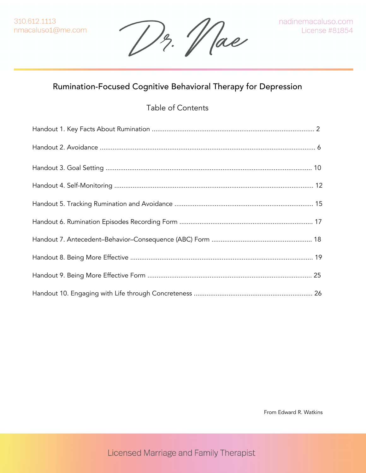Dr. Mae

# Rumination-Focused Cognitive Behavioral Therapy for Depression

# Table of Contents

From Edward R. Watkins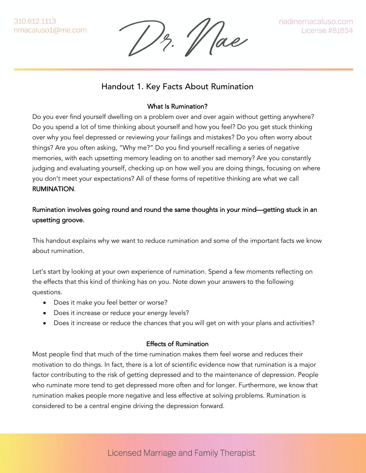'/ ae

# Handout 1. Key Facts About Rumination

### What Is Rumination?

Do you ever find yourself dwelling on a problem over and over again without getting anywhere? Do you spend a lot of time thinking about yourself and how you feel? Do you get stuck thinking over why you feel depressed or reviewing your failings and mistakes? Do you often worry about things? Are you often asking, "Why me?" Do you find yourself recalling a series of negative memories, with each upsetting memory leading on to another sad memory? Are you constantly judging and evaluating yourself, checking up on how well you are doing things, focusing on where you don't meet your expectations? All of these forms of repetitive thinking are what we call RUMINATION.

## Rumination involves going round and round the same thoughts in your mind—getting stuck in an upsetting groove.

This handout explains why we want to reduce rumination and some of the important facts we know about rumination.

Let's start by looking at your own experience of rumination. Spend a few moments reflecting on the effects that this kind of thinking has on you. Note down your answers to the following questions.

- Does it make you feel better or worse?
- Does it increase or reduce your energy levels?
- Does it increase or reduce the chances that you will get on with your plans and activities?

## Effects of Rumination

Most people find that much of the time rumination makes them feel worse and reduces their motivation to do things. In fact, there is a lot of scientific evidence now that rumination is a major factor contributing to the risk of getting depressed and to the maintenance of depression. People who ruminate more tend to get depressed more often and for longer. Furthermore, we know that rumination makes people more negative and less effective at solving problems. Rumination is considered to be a central engine driving the depression forward.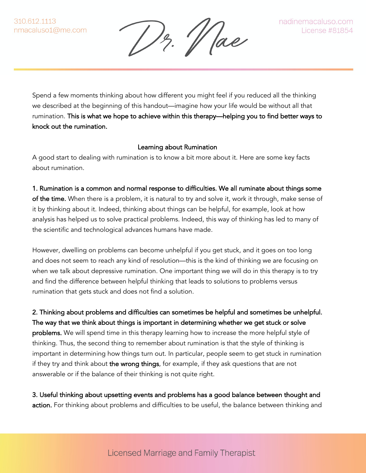1z. 11 Jae

Spend a few moments thinking about how different you might feel if you reduced all the thinking we described at the beginning of this handout—imagine how your life would be without all that rumination. This is what we hope to achieve within this therapy—helping you to find better ways to knock out the rumination.

### Learning about Rumination

A good start to dealing with rumination is to know a bit more about it. Here are some key facts about rumination.

# 1. Rumination is a common and normal response to difficulties. We all ruminate about things some

of the time. When there is a problem, it is natural to try and solve it, work it through, make sense of it by thinking about it. Indeed, thinking about things can be helpful, for example, look at how analysis has helped us to solve practical problems. Indeed, this way of thinking has led to many of the scientific and technological advances humans have made.

However, dwelling on problems can become unhelpful if you get stuck, and it goes on too long and does not seem to reach any kind of resolution—this is the kind of thinking we are focusing on when we talk about depressive rumination. One important thing we will do in this therapy is to try and find the difference between helpful thinking that leads to solutions to problems versus rumination that gets stuck and does not find a solution.

2. Thinking about problems and difficulties can sometimes be helpful and sometimes be unhelpful. The way that we think about things is important in determining whether we get stuck or solve problems. We will spend time in this therapy learning how to increase the more helpful style of thinking. Thus, the second thing to remember about rumination is that the style of thinking is important in determining how things turn out. In particular, people seem to get stuck in rumination if they try and think about the wrong things, for example, if they ask questions that are not answerable or if the balance of their thinking is not quite right.

3. Useful thinking about upsetting events and problems has a good balance between thought and action. For thinking about problems and difficulties to be useful, the balance between thinking and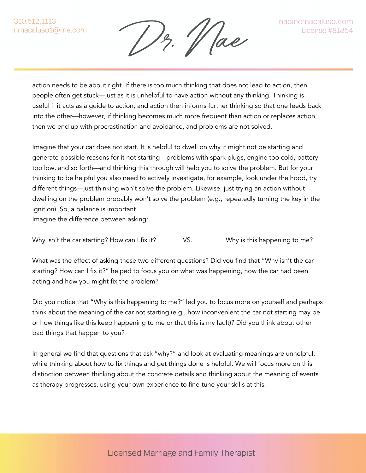'/ ae

action needs to be about right. If there is too much thinking that does not lead to action, then people often get stuck—just as it is unhelpful to have action without any thinking. Thinking is useful if it acts as a guide to action, and action then informs further thinking so that one feeds back into the other—however, if thinking becomes much more frequent than action or replaces action, then we end up with procrastination and avoidance, and problems are not solved.

Imagine that your car does not start. It is helpful to dwell on why it might not be starting and generate possible reasons for it not starting—problems with spark plugs, engine too cold, battery too low, and so forth—and thinking this through will help you to solve the problem. But for your thinking to be helpful you also need to actively investigate, for example, look under the hood, try different things—just thinking won't solve the problem. Likewise, just trying an action without dwelling on the problem probably won't solve the problem (e.g., repeatedly turning the key in the ignition). So, a balance is important.

Imagine the difference between asking:

| Why isn't the car starting? How can I fix it? |  | Why is this happening to me? |
|-----------------------------------------------|--|------------------------------|
|                                               |  |                              |

What was the effect of asking these two different questions? Did you find that "Why isn't the car starting? How can I fix it?" helped to focus you on what was happening, how the car had been acting and how you might fix the problem?

Did you notice that "Why is this happening to me?" led you to focus more on yourself and perhaps think about the meaning of the car not starting (e.g., how inconvenient the car not starting may be or how things like this keep happening to me or that this is my fault)? Did you think about other bad things that happen to you?

In general we find that questions that ask "why?" and look at evaluating meanings are unhelpful, while thinking about how to fix things and get things done is helpful. We will focus more on this distinction between thinking about the concrete details and thinking about the meaning of events as therapy progresses, using your own experience to fine-tune your skills at this.

# **Licensed Marriage and Family Therapist**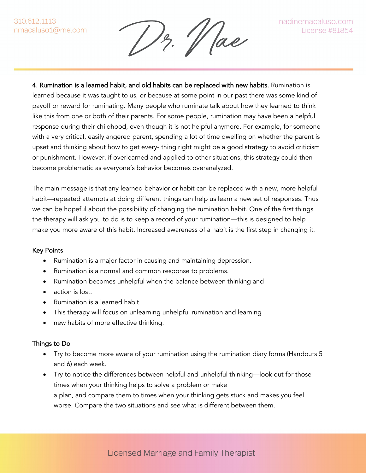'/ ae

4. Rumination is a learned habit, and old habits can be replaced with new habits. Rumination is learned because it was taught to us, or because at some point in our past there was some kind of payoff or reward for ruminating. Many people who ruminate talk about how they learned to think like this from one or both of their parents. For some people, rumination may have been a helpful response during their childhood, even though it is not helpful anymore. For example, for someone with a very critical, easily angered parent, spending a lot of time dwelling on whether the parent is upset and thinking about how to get every- thing right might be a good strategy to avoid criticism or punishment. However, if overlearned and applied to other situations, this strategy could then become problematic as everyone's behavior becomes overanalyzed.

The main message is that any learned behavior or habit can be replaced with a new, more helpful habit—repeated attempts at doing different things can help us learn a new set of responses. Thus we can be hopeful about the possibility of changing the rumination habit. One of the first things the therapy will ask you to do is to keep a record of your rumination—this is designed to help make you more aware of this habit. Increased awareness of a habit is the first step in changing it.

#### Key Points

- Rumination is a major factor in causing and maintaining depression.
- Rumination is a normal and common response to problems.
- Rumination becomes unhelpful when the balance between thinking and
- action is lost.
- Rumination is a learned habit.
- This therapy will focus on unlearning unhelpful rumination and learning
- new habits of more effective thinking.

#### Things to Do

- Try to become more aware of your rumination using the rumination diary forms (Handouts 5 and 6) each week.
- Try to notice the differences between helpful and unhelpful thinking—look out for those times when your thinking helps to solve a problem or make a plan, and compare them to times when your thinking gets stuck and makes you feel worse. Compare the two situations and see what is different between them.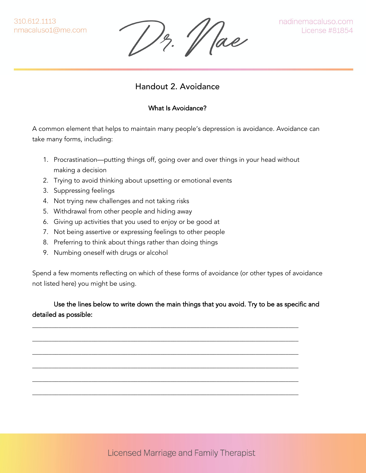Dr. Wae

# Handout 2. Avoidance

## What Is Avoidance?

A common element that helps to maintain many people's depression is avoidance. Avoidance can take many forms, including:

- 1. Procrastination—putting things off, going over and over things in your head without making a decision
- 2. Trying to avoid thinking about upsetting or emotional events
- 3. Suppressing feelings
- 4. Not trying new challenges and not taking risks
- 5. Withdrawal from other people and hiding away
- 6. Giving up activities that you used to enjoy or be good at
- 7. Not being assertive or expressing feelings to other people
- 8. Preferring to think about things rather than doing things
- 9. Numbing oneself with drugs or alcohol

Spend a few moments reflecting on which of these forms of avoidance (or other types of avoidance not listed here) you might be using.

Use the lines below to write down the main things that you avoid. Try to be as specific and detailed as possible:

\_\_\_\_\_\_\_\_\_\_\_\_\_\_\_\_\_\_\_\_\_\_\_\_\_\_\_\_\_\_\_\_\_\_\_\_\_\_\_\_\_\_\_\_\_\_\_\_\_\_\_\_\_\_\_\_\_\_\_\_\_\_\_\_\_\_\_\_\_\_\_\_\_\_\_\_\_\_\_\_\_

\_\_\_\_\_\_\_\_\_\_\_\_\_\_\_\_\_\_\_\_\_\_\_\_\_\_\_\_\_\_\_\_\_\_\_\_\_\_\_\_\_\_\_\_\_\_\_\_\_\_\_\_\_\_\_\_\_\_\_\_\_\_\_\_\_\_\_\_\_\_\_\_\_\_\_\_\_\_\_\_\_

\_\_\_\_\_\_\_\_\_\_\_\_\_\_\_\_\_\_\_\_\_\_\_\_\_\_\_\_\_\_\_\_\_\_\_\_\_\_\_\_\_\_\_\_\_\_\_\_\_\_\_\_\_\_\_\_\_\_\_\_\_\_\_\_\_\_\_\_\_\_\_\_\_\_\_\_\_\_\_\_\_

\_\_\_\_\_\_\_\_\_\_\_\_\_\_\_\_\_\_\_\_\_\_\_\_\_\_\_\_\_\_\_\_\_\_\_\_\_\_\_\_\_\_\_\_\_\_\_\_\_\_\_\_\_\_\_\_\_\_\_\_\_\_\_\_\_\_\_\_\_\_\_\_\_\_\_\_\_\_\_\_\_

\_\_\_\_\_\_\_\_\_\_\_\_\_\_\_\_\_\_\_\_\_\_\_\_\_\_\_\_\_\_\_\_\_\_\_\_\_\_\_\_\_\_\_\_\_\_\_\_\_\_\_\_\_\_\_\_\_\_\_\_\_\_\_\_\_\_\_\_\_\_\_\_\_\_\_\_\_\_\_\_\_

\_\_\_\_\_\_\_\_\_\_\_\_\_\_\_\_\_\_\_\_\_\_\_\_\_\_\_\_\_\_\_\_\_\_\_\_\_\_\_\_\_\_\_\_\_\_\_\_\_\_\_\_\_\_\_\_\_\_\_\_\_\_\_\_\_\_\_\_\_\_\_\_\_\_\_\_\_\_\_\_\_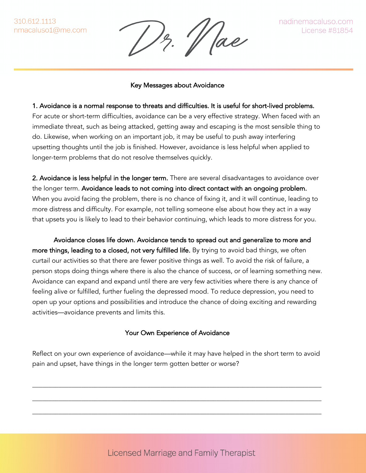310.612.1113 nmacaluso1@me.com

'/ ae

nadinemacaluso.com License #81854

#### Key Messages about Avoidance

#### 1. Avoidance is a normal response to threats and difficulties. It is useful for short-lived problems.

For acute or short-term difficulties, avoidance can be a very effective strategy. When faced with an immediate threat, such as being attacked, getting away and escaping is the most sensible thing to do. Likewise, when working on an important job, it may be useful to push away interfering upsetting thoughts until the job is finished. However, avoidance is less helpful when applied to longer-term problems that do not resolve themselves quickly.

2. Avoidance is less helpful in the longer term. There are several disadvantages to avoidance over the longer term. Avoidance leads to not coming into direct contact with an ongoing problem. When you avoid facing the problem, there is no chance of fixing it, and it will continue, leading to more distress and difficulty. For example, not telling someone else about how they act in a way that upsets you is likely to lead to their behavior continuing, which leads to more distress for you.

Avoidance closes life down. Avoidance tends to spread out and generalize to more and more things, leading to a closed, not very fulfilled life. By trying to avoid bad things, we often curtail our activities so that there are fewer positive things as well. To avoid the risk of failure, a person stops doing things where there is also the chance of success, or of learning something new. Avoidance can expand and expand until there are very few activities where there is any chance of feeling alive or fulfilled, further fueling the depressed mood. To reduce depression, you need to open up your options and possibilities and introduce the chance of doing exciting and rewarding activities—avoidance prevents and limits this.

#### Your Own Experience of Avoidance

Reflect on your own experience of avoidance—while it may have helped in the short term to avoid pain and upset, have things in the longer term gotten better or worse?

\_\_\_\_\_\_\_\_\_\_\_\_\_\_\_\_\_\_\_\_\_\_\_\_\_\_\_\_\_\_\_\_\_\_\_\_\_\_\_\_\_\_\_\_\_\_\_\_\_\_\_\_\_\_\_\_\_\_\_\_\_\_\_\_\_\_\_\_\_\_\_\_\_\_\_\_\_\_\_\_\_\_\_\_\_\_\_\_

\_\_\_\_\_\_\_\_\_\_\_\_\_\_\_\_\_\_\_\_\_\_\_\_\_\_\_\_\_\_\_\_\_\_\_\_\_\_\_\_\_\_\_\_\_\_\_\_\_\_\_\_\_\_\_\_\_\_\_\_\_\_\_\_\_\_\_\_\_\_\_\_\_\_\_\_\_\_\_\_\_\_\_\_\_\_\_\_

\_\_\_\_\_\_\_\_\_\_\_\_\_\_\_\_\_\_\_\_\_\_\_\_\_\_\_\_\_\_\_\_\_\_\_\_\_\_\_\_\_\_\_\_\_\_\_\_\_\_\_\_\_\_\_\_\_\_\_\_\_\_\_\_\_\_\_\_\_\_\_\_\_\_\_\_\_\_\_\_\_\_\_\_\_\_\_\_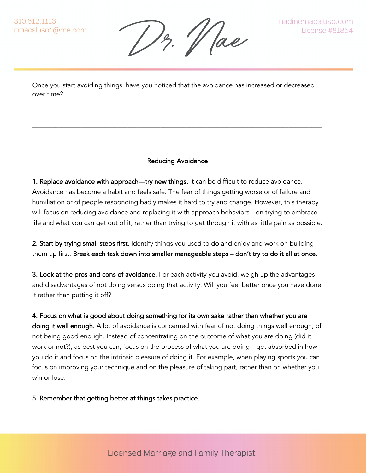1)z. 11 ae

Once you start avoiding things, have you noticed that the avoidance has increased or decreased over time?

\_\_\_\_\_\_\_\_\_\_\_\_\_\_\_\_\_\_\_\_\_\_\_\_\_\_\_\_\_\_\_\_\_\_\_\_\_\_\_\_\_\_\_\_\_\_\_\_\_\_\_\_\_\_\_\_\_\_\_\_\_\_\_\_\_\_\_\_\_\_\_\_\_\_\_\_\_\_\_\_\_\_\_\_\_\_\_\_

\_\_\_\_\_\_\_\_\_\_\_\_\_\_\_\_\_\_\_\_\_\_\_\_\_\_\_\_\_\_\_\_\_\_\_\_\_\_\_\_\_\_\_\_\_\_\_\_\_\_\_\_\_\_\_\_\_\_\_\_\_\_\_\_\_\_\_\_\_\_\_\_\_\_\_\_\_\_\_\_\_\_\_\_\_\_\_\_

\_\_\_\_\_\_\_\_\_\_\_\_\_\_\_\_\_\_\_\_\_\_\_\_\_\_\_\_\_\_\_\_\_\_\_\_\_\_\_\_\_\_\_\_\_\_\_\_\_\_\_\_\_\_\_\_\_\_\_\_\_\_\_\_\_\_\_\_\_\_\_\_\_\_\_\_\_\_\_\_\_\_\_\_\_\_\_\_

### Reducing Avoidance

1. Replace avoidance with approach—try new things. It can be difficult to reduce avoidance. Avoidance has become a habit and feels safe. The fear of things getting worse or of failure and humiliation or of people responding badly makes it hard to try and change. However, this therapy will focus on reducing avoidance and replacing it with approach behaviors—on trying to embrace life and what you can get out of it, rather than trying to get through it with as little pain as possible.

2. Start by trying small steps first. Identify things you used to do and enjoy and work on building them up first. Break each task down into smaller manageable steps – don't try to do it all at once.

3. Look at the pros and cons of avoidance. For each activity you avoid, weigh up the advantages and disadvantages of not doing versus doing that activity. Will you feel better once you have done it rather than putting it off?

4. Focus on what is good about doing something for its own sake rather than whether you are doing it well enough. A lot of avoidance is concerned with fear of not doing things well enough, of not being good enough. Instead of concentrating on the outcome of what you are doing (did it work or not?), as best you can, focus on the process of what you are doing—get absorbed in how you do it and focus on the intrinsic pleasure of doing it. For example, when playing sports you can focus on improving your technique and on the pleasure of taking part, rather than on whether you win or lose.

5. Remember that getting better at things takes practice.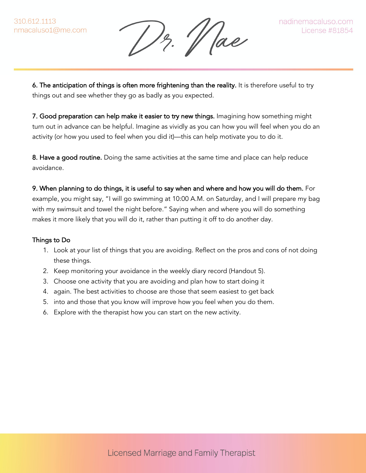13. Mae

6. The anticipation of things is often more frightening than the reality. It is therefore useful to try things out and see whether they go as badly as you expected.

7. Good preparation can help make it easier to try new things. Imagining how something might turn out in advance can be helpful. Imagine as vividly as you can how you will feel when you do an activity (or how you used to feel when you did it)—this can help motivate you to do it.

8. Have a good routine. Doing the same activities at the same time and place can help reduce avoidance.

9. When planning to do things, it is useful to say when and where and how you will do them. For example, you might say, "I will go swimming at 10:00 A.M. on Saturday, and I will prepare my bag with my swimsuit and towel the night before." Saying when and where you will do something makes it more likely that you will do it, rather than putting it off to do another day.

### Things to Do

- 1. Look at your list of things that you are avoiding. Reflect on the pros and cons of not doing these things.
- 2. Keep monitoring your avoidance in the weekly diary record (Handout 5).
- 3. Choose one activity that you are avoiding and plan how to start doing it
- 4. again. The best activities to choose are those that seem easiest to get back
- 5. into and those that you know will improve how you feel when you do them.
- 6. Explore with the therapist how you can start on the new activity.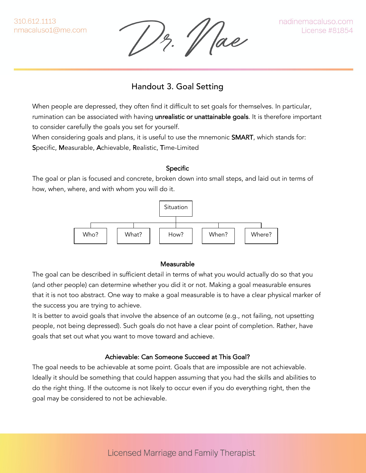310.612.1113 nmacaluso1@me.com

'/ ae

# Handout 3. Goal Setting

When people are depressed, they often find it difficult to set goals for themselves. In particular, rumination can be associated with having **unrealistic or unattainable goals**. It is therefore important to consider carefully the goals you set for yourself.

When considering goals and plans, it is useful to use the mnemonic SMART, which stands for: Specific, Measurable, Achievable, Realistic, Time-Limited

### Specific

The goal or plan is focused and concrete, broken down into small steps, and laid out in terms of how, when, where, and with whom you will do it.



### Measurable

The goal can be described in sufficient detail in terms of what you would actually do so that you (and other people) can determine whether you did it or not. Making a goal measurable ensures that it is not too abstract. One way to make a goal measurable is to have a clear physical marker of the success you are trying to achieve.

It is better to avoid goals that involve the absence of an outcome (e.g., not failing, not upsetting people, not being depressed). Such goals do not have a clear point of completion. Rather, have goals that set out what you want to move toward and achieve.

## Achievable: Can Someone Succeed at This Goal?

The goal needs to be achievable at some point. Goals that are impossible are not achievable. Ideally it should be something that could happen assuming that you had the skills and abilities to do the right thing. If the outcome is not likely to occur even if you do everything right, then the goal may be considered to not be achievable.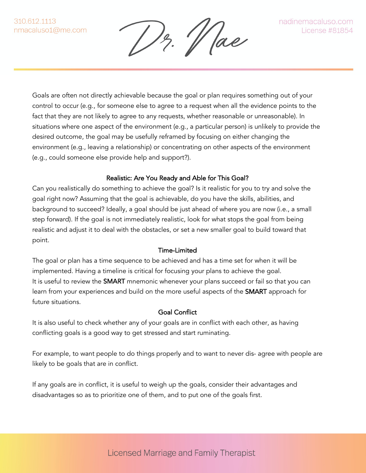1z. 11 ae

Goals are often not directly achievable because the goal or plan requires something out of your control to occur (e.g., for someone else to agree to a request when all the evidence points to the fact that they are not likely to agree to any requests, whether reasonable or unreasonable). In situations where one aspect of the environment (e.g., a particular person) is unlikely to provide the desired outcome, the goal may be usefully reframed by focusing on either changing the environment (e.g., leaving a relationship) or concentrating on other aspects of the environment (e.g., could someone else provide help and support?).

### Realistic: Are You Ready and Able for This Goal?

Can you realistically do something to achieve the goal? Is it realistic for you to try and solve the goal right now? Assuming that the goal is achievable, do you have the skills, abilities, and background to succeed? Ideally, a goal should be just ahead of where you are now (i.e., a small step forward). If the goal is not immediately realistic, look for what stops the goal from being realistic and adjust it to deal with the obstacles, or set a new smaller goal to build toward that point.

#### Time-Limited

The goal or plan has a time sequence to be achieved and has a time set for when it will be implemented. Having a timeline is critical for focusing your plans to achieve the goal. It is useful to review the **SMART** mnemonic whenever your plans succeed or fail so that you can learn from your experiences and build on the more useful aspects of the SMART approach for future situations.

### Goal Conflict

It is also useful to check whether any of your goals are in conflict with each other, as having conflicting goals is a good way to get stressed and start ruminating.

For example, to want people to do things properly and to want to never dis- agree with people are likely to be goals that are in conflict.

If any goals are in conflict, it is useful to weigh up the goals, consider their advantages and disadvantages so as to prioritize one of them, and to put one of the goals first.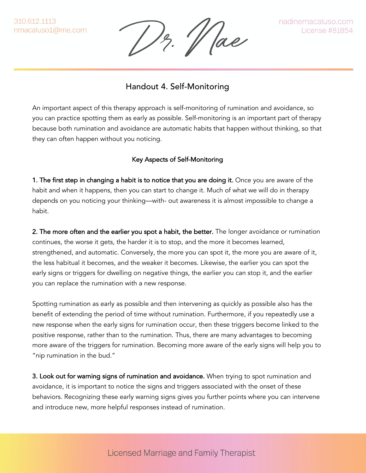310.612.1113 nmacaluso1@me.com

'/ ae

nadinemacaluso.com License #81854

## Handout 4. Self-Monitoring

An important aspect of this therapy approach is self-monitoring of rumination and avoidance, so you can practice spotting them as early as possible. Self-monitoring is an important part of therapy because both rumination and avoidance are automatic habits that happen without thinking, so that they can often happen without you noticing.

### Key Aspects of Self-Monitoring

1. The first step in changing a habit is to notice that you are doing it. Once you are aware of the habit and when it happens, then you can start to change it. Much of what we will do in therapy depends on you noticing your thinking—with- out awareness it is almost impossible to change a habit.

2. The more often and the earlier you spot a habit, the better. The longer avoidance or rumination continues, the worse it gets, the harder it is to stop, and the more it becomes learned, strengthened, and automatic. Conversely, the more you can spot it, the more you are aware of it, the less habitual it becomes, and the weaker it becomes. Likewise, the earlier you can spot the early signs or triggers for dwelling on negative things, the earlier you can stop it, and the earlier you can replace the rumination with a new response.

Spotting rumination as early as possible and then intervening as quickly as possible also has the benefit of extending the period of time without rumination. Furthermore, if you repeatedly use a new response when the early signs for rumination occur, then these triggers become linked to the positive response, rather than to the rumination. Thus, there are many advantages to becoming more aware of the triggers for rumination. Becoming more aware of the early signs will help you to "nip rumination in the bud."

3. Look out for warning signs of rumination and avoidance. When trying to spot rumination and avoidance, it is important to notice the signs and triggers associated with the onset of these behaviors. Recognizing these early warning signs gives you further points where you can intervene and introduce new, more helpful responses instead of rumination.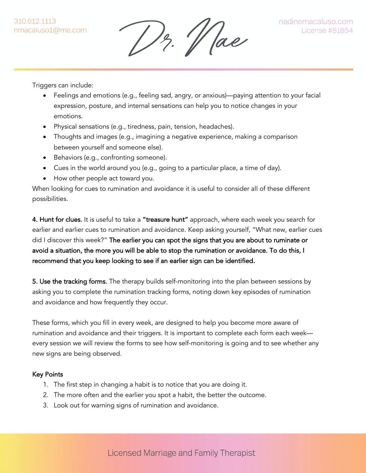12. Vae

Triggers can include:

- Feelings and emotions (e.g., feeling sad, angry, or anxious)—paying attention to your facial expression, posture, and internal sensations can help you to notice changes in your emotions.
- Physical sensations (e.g., tiredness, pain, tension, headaches).
- Thoughts and images (e.g., imagining a negative experience, making a comparison between yourself and someone else).
- Behaviors (e.g., confronting someone).
- Cues in the world around you (e.g., going to a particular place, a time of day).
- How other people act toward you.

When looking for cues to rumination and avoidance it is useful to consider all of these different possibilities.

4. Hunt for clues. It is useful to take a "treasure hunt" approach, where each week you search for earlier and earlier cues to rumination and avoidance. Keep asking yourself, "What new, earlier cues did I discover this week?" The earlier you can spot the signs that you are about to ruminate or avoid a situation, the more you will be able to stop the rumination or avoidance. To do this, I recommend that you keep looking to see if an earlier sign can be identified.

5. Use the tracking forms. The therapy builds self-monitoring into the plan between sessions by asking you to complete the rumination tracking forms, noting down key episodes of rumination and avoidance and how frequently they occur.

These forms, which you fill in every week, are designed to help you become more aware of rumination and avoidance and their triggers. It is important to complete each form each week every session we will review the forms to see how self-monitoring is going and to see whether any new signs are being observed.

## Key Points

- 1. The first step in changing a habit is to notice that you are doing it.
- 2. The more often and the earlier you spot a habit, the better the outcome.
- 3. Look out for warning signs of rumination and avoidance.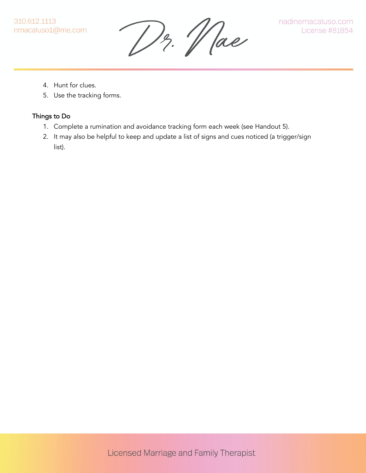Dr. Mae

- 4. Hunt for clues.
- 5. Use the tracking forms.

### Things to Do

- 1. Complete a rumination and avoidance tracking form each week (see Handout 5).
- 2. It may also be helpful to keep and update a list of signs and cues noticed (a trigger/sign list).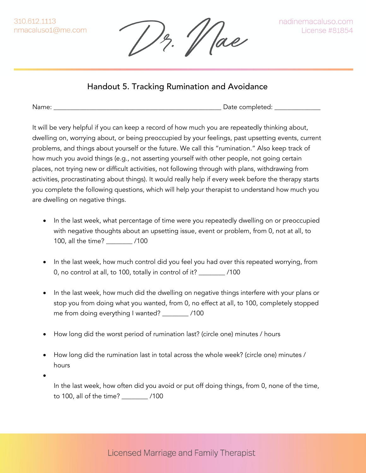310.612.1113 nmacaluso1@me.com



## Handout 5. Tracking Rumination and Avoidance

Name: \_\_\_\_\_\_\_\_\_\_\_\_\_\_\_\_\_\_\_\_\_\_\_\_\_\_\_\_\_\_\_\_\_\_\_\_\_\_\_\_\_\_\_\_\_\_\_\_\_\_\_ Date completed: \_\_\_\_\_\_\_\_\_\_\_\_\_\_

It will be very helpful if you can keep a record of how much you are repeatedly thinking about, dwelling on, worrying about, or being preoccupied by your feelings, past upsetting events, current problems, and things about yourself or the future. We call this "rumination." Also keep track of how much you avoid things (e.g., not asserting yourself with other people, not going certain places, not trying new or difficult activities, not following through with plans, withdrawing from activities, procrastinating about things). It would really help if every week before the therapy starts you complete the following questions, which will help your therapist to understand how much you are dwelling on negative things.

- In the last week, what percentage of time were you repeatedly dwelling on or preoccupied with negative thoughts about an upsetting issue, event or problem, from 0, not at all, to 100, all the time? \_\_\_\_\_\_\_\_ /100
- In the last week, how much control did you feel you had over this repeated worrying, from 0, no control at all, to 100, totally in control of it? \_\_\_\_\_\_\_\_ /100
- In the last week, how much did the dwelling on negative things interfere with your plans or stop you from doing what you wanted, from 0, no effect at all, to 100, completely stopped me from doing everything I wanted? \_\_\_\_\_\_\_\_ /100
- How long did the worst period of rumination last? (circle one) minutes / hours
- How long did the rumination last in total across the whole week? (circle one) minutes / hours
- •

In the last week, how often did you avoid or put off doing things, from 0, none of the time, to 100, all of the time? \_\_\_\_\_\_\_\_ /100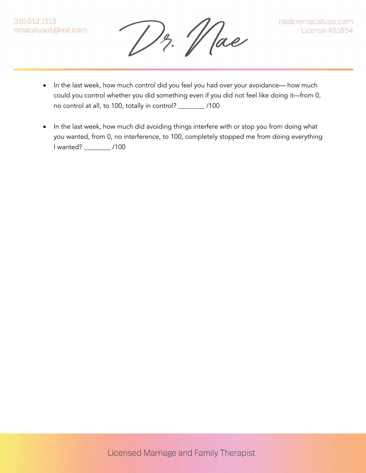310.612.1113 nmacaluso1@me.com

Dr. Mae

- In the last week, how much control did you feel you had over your avoidance— how much could you control whether you did something even if you did not feel like doing it—from 0, no control at all, to 100, totally in control? \_\_\_\_\_\_\_\_ /100
- In the last week, how much did avoiding things interfere with or stop you from doing what you wanted, from 0, no interference, to 100, completely stopped me from doing everything I wanted? \_\_\_\_\_\_\_\_ /100

**Licensed Marriage and Family Therapist**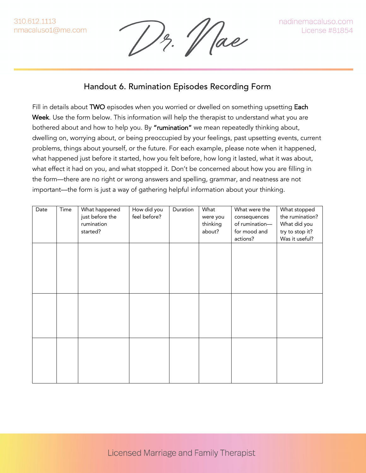$\frac{1}{2}$ . Hae

## Handout 6. Rumination Episodes Recording Form

Fill in details about TWO episodes when you worried or dwelled on something upsetting Each Week. Use the form below. This information will help the therapist to understand what you are bothered about and how to help you. By "rumination" we mean repeatedly thinking about, dwelling on, worrying about, or being preoccupied by your feelings, past upsetting events, current problems, things about yourself, or the future. For each example, please note when it happened, what happened just before it started, how you felt before, how long it lasted, what it was about, what effect it had on you, and what stopped it. Don't be concerned about how you are filling in the form—there are no right or wrong answers and spelling, grammar, and neatness are not important—the form is just a way of gathering helpful information about your thinking.

| Date | Time | What happened   | How did you  | Duration | What     | What were the  | What stopped    |
|------|------|-----------------|--------------|----------|----------|----------------|-----------------|
|      |      | just before the | feel before? |          | were you | consequences   | the rumination? |
|      |      | rumination      |              |          | thinking | of rumination- | What did you    |
|      |      | started?        |              |          | about?   | for mood and   | try to stop it? |
|      |      |                 |              |          |          | actions?       | Was it useful?  |
|      |      |                 |              |          |          |                |                 |
|      |      |                 |              |          |          |                |                 |
|      |      |                 |              |          |          |                |                 |
|      |      |                 |              |          |          |                |                 |
|      |      |                 |              |          |          |                |                 |
|      |      |                 |              |          |          |                |                 |
|      |      |                 |              |          |          |                |                 |
|      |      |                 |              |          |          |                |                 |
|      |      |                 |              |          |          |                |                 |
|      |      |                 |              |          |          |                |                 |
|      |      |                 |              |          |          |                |                 |
|      |      |                 |              |          |          |                |                 |
|      |      |                 |              |          |          |                |                 |
|      |      |                 |              |          |          |                |                 |
|      |      |                 |              |          |          |                |                 |
|      |      |                 |              |          |          |                |                 |
|      |      |                 |              |          |          |                |                 |
|      |      |                 |              |          |          |                |                 |
|      |      |                 |              |          |          |                |                 |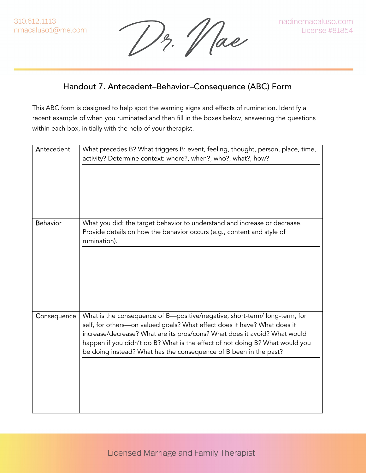Dr. Mae

# Handout 7. Antecedent–Behavior–Consequence (ABC) Form

This ABC form is designed to help spot the warning signs and effects of rumination. Identify a recent example of when you ruminated and then fill in the boxes below, answering the questions within each box, initially with the help of your therapist.

| Antecedent      | What precedes B? What triggers B: event, feeling, thought, person, place, time,<br>activity? Determine context: where?, when?, who?, what?, how?                                                                                                                                                                                                                                         |
|-----------------|------------------------------------------------------------------------------------------------------------------------------------------------------------------------------------------------------------------------------------------------------------------------------------------------------------------------------------------------------------------------------------------|
| <b>Behavior</b> | What you did: the target behavior to understand and increase or decrease.<br>Provide details on how the behavior occurs (e.g., content and style of<br>rumination).                                                                                                                                                                                                                      |
| Consequence     | What is the consequence of B-positive/negative, short-term/ long-term, for<br>self, for others-on valued goals? What effect does it have? What does it<br>increase/decrease? What are its pros/cons? What does it avoid? What would<br>happen if you didn't do B? What is the effect of not doing B? What would you<br>be doing instead? What has the consequence of B been in the past? |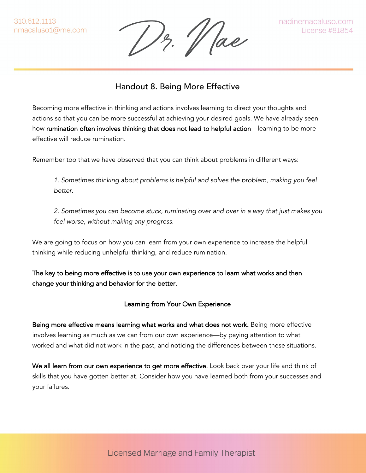Wae

# Handout 8. Being More Effective

Becoming more effective in thinking and actions involves learning to direct your thoughts and actions so that you can be more successful at achieving your desired goals. We have already seen how rumination often involves thinking that does not lead to helpful action—learning to be more effective will reduce rumination.

Remember too that we have observed that you can think about problems in different ways:

*1. Sometimes thinking about problems is helpful and solves the problem, making you feel better.*

*2. Sometimes you can become stuck, ruminating over and over in a way that just makes you feel worse, without making any progress.*

We are going to focus on how you can learn from your own experience to increase the helpful thinking while reducing unhelpful thinking, and reduce rumination.

The key to being more effective is to use your own experience to learn what works and then change your thinking and behavior for the better.

### Learning from Your Own Experience

Being more effective means learning what works and what does not work. Being more effective involves learning as much as we can from our own experience—by paying attention to what worked and what did not work in the past, and noticing the differences between these situations.

We all learn from our own experience to get more effective. Look back over your life and think of skills that you have gotten better at. Consider how you have learned both from your successes and your failures.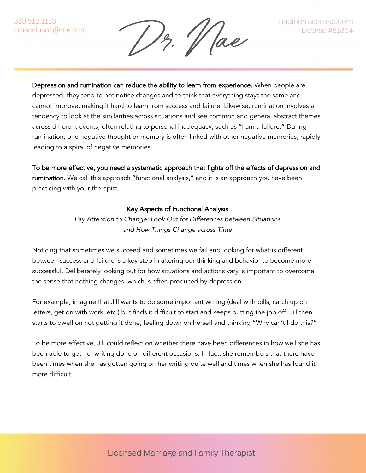12. Vae

Depression and rumination can reduce the ability to learn from experience. When people are depressed, they tend to not notice changes and to think that everything stays the same and cannot improve, making it hard to learn from success and failure. Likewise, rumination involves a tendency to look at the similarities across situations and see common and general abstract themes across different events, often relating to personal inadequacy, such as "I am a failure." During rumination, one negative thought or memory is often linked with other negative memories, rapidly leading to a spiral of negative memories.

To be more effective, you need a systematic approach that fights off the effects of depression and rumination. We call this approach "functional analysis," and it is an approach you have been practicing with your therapist.

### Key Aspects of Functional Analysis

*Pay Attention to Change: Look Out for Differences between Situations and How Things Change across Time*

Noticing that sometimes we succeed and sometimes we fail and looking for what is different between success and failure is a key step in altering our thinking and behavior to become more successful. Deliberately looking out for how situations and actions vary is important to overcome the sense that nothing changes, which is often produced by depression.

For example, imagine that Jill wants to do some important writing (deal with bills, catch up on letters, get on with work, etc.) but finds it difficult to start and keeps putting the job off. Jill then starts to dwell on not getting it done, feeling down on herself and thinking "Why can't I do this?"

To be more effective, Jill could reflect on whether there have been differences in how well she has been able to get her writing done on different occasions. In fact, she remembers that there have been times when she has gotten going on her writing quite well and times when she has found it more difficult.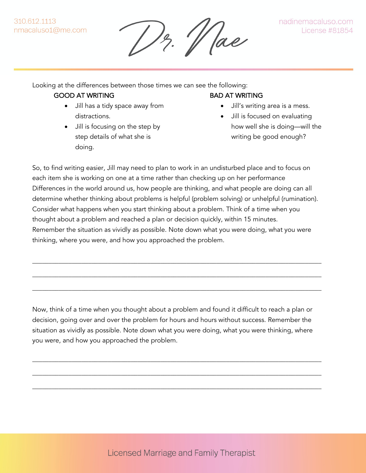'/ ae

Looking at the differences between those times we can see the following:

### GOOD AT WRITING

- Jill has a tidy space away from distractions.
- Jill is focusing on the step by step details of what she is doing.

## BAD AT WRITING

- Jill's writing area is a mess.
- Jill is focused on evaluating how well she is doing—will the writing be good enough?

So, to find writing easier, Jill may need to plan to work in an undisturbed place and to focus on each item she is working on one at a time rather than checking up on her performance Differences in the world around us, how people are thinking, and what people are doing can all determine whether thinking about problems is helpful (problem solving) or unhelpful (rumination). Consider what happens when you start thinking about a problem. Think of a time when you thought about a problem and reached a plan or decision quickly, within 15 minutes. Remember the situation as vividly as possible. Note down what you were doing, what you were thinking, where you were, and how you approached the problem.

\_\_\_\_\_\_\_\_\_\_\_\_\_\_\_\_\_\_\_\_\_\_\_\_\_\_\_\_\_\_\_\_\_\_\_\_\_\_\_\_\_\_\_\_\_\_\_\_\_\_\_\_\_\_\_\_\_\_\_\_\_\_\_\_\_\_\_\_\_\_\_\_\_\_\_\_\_\_\_\_\_\_\_\_\_\_\_\_

\_\_\_\_\_\_\_\_\_\_\_\_\_\_\_\_\_\_\_\_\_\_\_\_\_\_\_\_\_\_\_\_\_\_\_\_\_\_\_\_\_\_\_\_\_\_\_\_\_\_\_\_\_\_\_\_\_\_\_\_\_\_\_\_\_\_\_\_\_\_\_\_\_\_\_\_\_\_\_\_\_\_\_\_\_\_\_\_

\_\_\_\_\_\_\_\_\_\_\_\_\_\_\_\_\_\_\_\_\_\_\_\_\_\_\_\_\_\_\_\_\_\_\_\_\_\_\_\_\_\_\_\_\_\_\_\_\_\_\_\_\_\_\_\_\_\_\_\_\_\_\_\_\_\_\_\_\_\_\_\_\_\_\_\_\_\_\_\_\_\_\_\_\_\_\_\_

Now, think of a time when you thought about a problem and found it difficult to reach a plan or decision, going over and over the problem for hours and hours without success. Remember the situation as vividly as possible. Note down what you were doing, what you were thinking, where you were, and how you approached the problem.

\_\_\_\_\_\_\_\_\_\_\_\_\_\_\_\_\_\_\_\_\_\_\_\_\_\_\_\_\_\_\_\_\_\_\_\_\_\_\_\_\_\_\_\_\_\_\_\_\_\_\_\_\_\_\_\_\_\_\_\_\_\_\_\_\_\_\_\_\_\_\_\_\_\_\_\_\_\_\_\_\_\_\_\_\_\_\_\_

\_\_\_\_\_\_\_\_\_\_\_\_\_\_\_\_\_\_\_\_\_\_\_\_\_\_\_\_\_\_\_\_\_\_\_\_\_\_\_\_\_\_\_\_\_\_\_\_\_\_\_\_\_\_\_\_\_\_\_\_\_\_\_\_\_\_\_\_\_\_\_\_\_\_\_\_\_\_\_\_\_\_\_\_\_\_\_\_

\_\_\_\_\_\_\_\_\_\_\_\_\_\_\_\_\_\_\_\_\_\_\_\_\_\_\_\_\_\_\_\_\_\_\_\_\_\_\_\_\_\_\_\_\_\_\_\_\_\_\_\_\_\_\_\_\_\_\_\_\_\_\_\_\_\_\_\_\_\_\_\_\_\_\_\_\_\_\_\_\_\_\_\_\_\_\_\_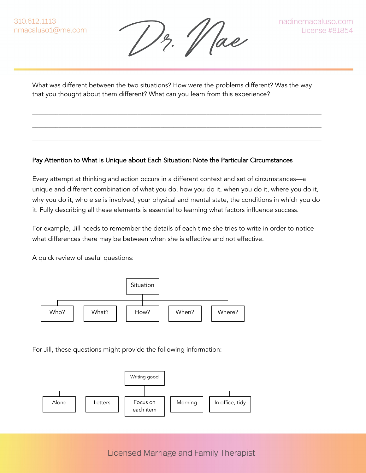12. Vae

What was different between the two situations? How were the problems different? Was the way that you thought about them different? What can you learn from this experience?

\_\_\_\_\_\_\_\_\_\_\_\_\_\_\_\_\_\_\_\_\_\_\_\_\_\_\_\_\_\_\_\_\_\_\_\_\_\_\_\_\_\_\_\_\_\_\_\_\_\_\_\_\_\_\_\_\_\_\_\_\_\_\_\_\_\_\_\_\_\_\_\_\_\_\_\_\_\_\_\_\_\_\_\_\_\_\_\_

\_\_\_\_\_\_\_\_\_\_\_\_\_\_\_\_\_\_\_\_\_\_\_\_\_\_\_\_\_\_\_\_\_\_\_\_\_\_\_\_\_\_\_\_\_\_\_\_\_\_\_\_\_\_\_\_\_\_\_\_\_\_\_\_\_\_\_\_\_\_\_\_\_\_\_\_\_\_\_\_\_\_\_\_\_\_\_\_

\_\_\_\_\_\_\_\_\_\_\_\_\_\_\_\_\_\_\_\_\_\_\_\_\_\_\_\_\_\_\_\_\_\_\_\_\_\_\_\_\_\_\_\_\_\_\_\_\_\_\_\_\_\_\_\_\_\_\_\_\_\_\_\_\_\_\_\_\_\_\_\_\_\_\_\_\_\_\_\_\_\_\_\_\_\_\_\_

### Pay Attention to What Is Unique about Each Situation: Note the Particular Circumstances

Every attempt at thinking and action occurs in a different context and set of circumstances—a unique and different combination of what you do, how you do it, when you do it, where you do it, why you do it, who else is involved, your physical and mental state, the conditions in which you do it. Fully describing all these elements is essential to learning what factors influence success.

For example, Jill needs to remember the details of each time she tries to write in order to notice what differences there may be between when she is effective and not effective.

A quick review of useful questions:



For Jill, these questions might provide the following information:



**Licensed Marriage and Family Therapist**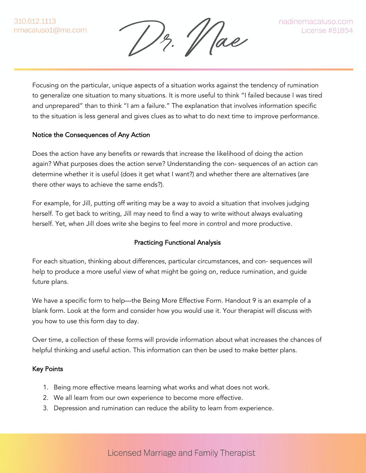$\frac{1}{2}$ .  $\frac{1}{2}$  ae

Focusing on the particular, unique aspects of a situation works against the tendency of rumination to generalize one situation to many situations. It is more useful to think "I failed because I was tired and unprepared" than to think "I am a failure." The explanation that involves information specific to the situation is less general and gives clues as to what to do next time to improve performance.

### Notice the Consequences of Any Action

Does the action have any benefits or rewards that increase the likelihood of doing the action again? What purposes does the action serve? Understanding the con- sequences of an action can determine whether it is useful (does it get what I want?) and whether there are alternatives (are there other ways to achieve the same ends?).

For example, for Jill, putting off writing may be a way to avoid a situation that involves judging herself. To get back to writing, Jill may need to find a way to write without always evaluating herself. Yet, when Jill does write she begins to feel more in control and more productive.

### Practicing Functional Analysis

For each situation, thinking about differences, particular circumstances, and con- sequences will help to produce a more useful view of what might be going on, reduce rumination, and guide future plans.

We have a specific form to help—the Being More Effective Form. Handout 9 is an example of a blank form. Look at the form and consider how you would use it. Your therapist will discuss with you how to use this form day to day.

Over time, a collection of these forms will provide information about what increases the chances of helpful thinking and useful action. This information can then be used to make better plans.

### Key Points

- 1. Being more effective means learning what works and what does not work.
- 2. We all learn from our own experience to become more effective.
- 3. Depression and rumination can reduce the ability to learn from experience.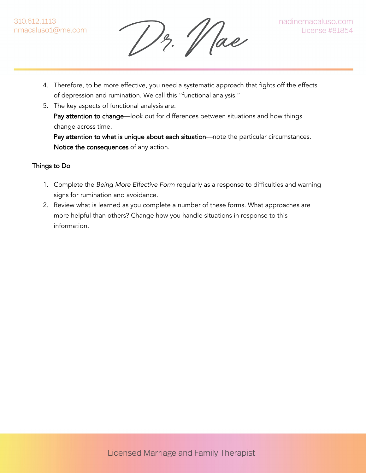Dr. Wae

- 4. Therefore, to be more effective, you need a systematic approach that fights off the effects of depression and rumination. We call this "functional analysis."
- 5. The key aspects of functional analysis are:

Pay attention to change—look out for differences between situations and how things change across time.

Pay attention to what is unique about each situation—note the particular circumstances. Notice the consequences of any action.

### Things to Do

- 1. Complete the *Being More Effective Form* regularly as a response to difficulties and warning signs for rumination and avoidance.
- 2. Review what is learned as you complete a number of these forms. What approaches are more helpful than others? Change how you handle situations in response to this information.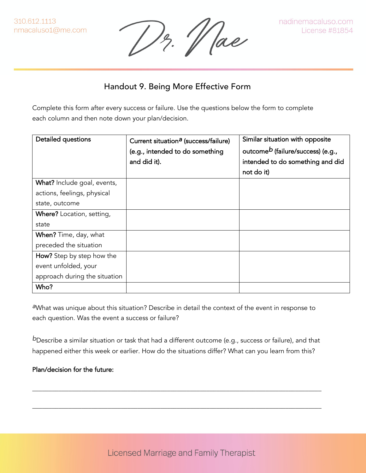Dr. Mae

# Handout 9. Being More Effective Form

Complete this form after every success or failure. Use the questions below the form to complete each column and then note down your plan/decision.

| <b>Detailed questions</b>        | Current situation <sup>a</sup> (success/failure)<br>(e.g., intended to do something<br>and did it). | Similar situation with opposite<br>outcome <sup>b</sup> (failure/success) (e.g.,<br>intended to do something and did<br>not do it) |
|----------------------------------|-----------------------------------------------------------------------------------------------------|------------------------------------------------------------------------------------------------------------------------------------|
| What? Include goal, events,      |                                                                                                     |                                                                                                                                    |
| actions, feelings, physical      |                                                                                                     |                                                                                                                                    |
| state, outcome                   |                                                                                                     |                                                                                                                                    |
| <b>Where?</b> Location, setting, |                                                                                                     |                                                                                                                                    |
| state                            |                                                                                                     |                                                                                                                                    |
| <b>When?</b> Time, day, what     |                                                                                                     |                                                                                                                                    |
| preceded the situation           |                                                                                                     |                                                                                                                                    |
| How? Step by step how the        |                                                                                                     |                                                                                                                                    |
| event unfolded, your             |                                                                                                     |                                                                                                                                    |
| approach during the situation    |                                                                                                     |                                                                                                                                    |
| Who?                             |                                                                                                     |                                                                                                                                    |

*a*What was unique about this situation? Describe in detail the context of the event in response to each question. Was the event a success or failure?

*b*Describe a similar situation or task that had a different outcome (e.g., success or failure), and that happened either this week or earlier. How do the situations differ? What can you learn from this?

\_\_\_\_\_\_\_\_\_\_\_\_\_\_\_\_\_\_\_\_\_\_\_\_\_\_\_\_\_\_\_\_\_\_\_\_\_\_\_\_\_\_\_\_\_\_\_\_\_\_\_\_\_\_\_\_\_\_\_\_\_\_\_\_\_\_\_\_\_\_\_\_\_\_\_\_\_\_\_\_\_\_\_\_\_\_\_\_

\_\_\_\_\_\_\_\_\_\_\_\_\_\_\_\_\_\_\_\_\_\_\_\_\_\_\_\_\_\_\_\_\_\_\_\_\_\_\_\_\_\_\_\_\_\_\_\_\_\_\_\_\_\_\_\_\_\_\_\_\_\_\_\_\_\_\_\_\_\_\_\_\_\_\_\_\_\_\_\_\_\_\_\_\_\_\_\_

## Plan/decision for the future:

**Licensed Marriage and Family Therapist**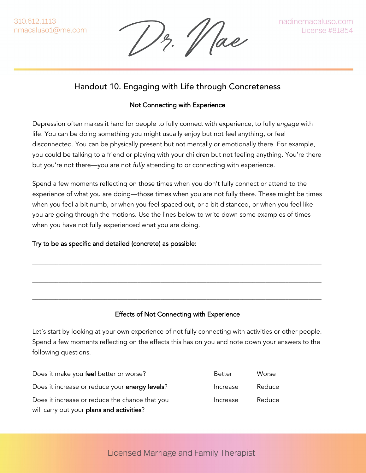1)z. 11 ae

# Handout 10. Engaging with Life through Concreteness

## Not Connecting with Experience

Depression often makes it hard for people to fully connect with experience, to fully *engage* with life. You can be doing something you might usually enjoy but not feel anything, or feel disconnected. You can be physically present but not mentally or emotionally there. For example, you could be talking to a friend or playing with your children but not feeling anything. You're there but you're not there—you are not *fully* attending to or connecting with experience.

Spend a few moments reflecting on those times when you don't fully connect or attend to the experience of what you are doing—those times when you are not fully there. These might be times when you feel a bit numb, or when you feel spaced out, or a bit distanced, or when you feel like you are going through the motions. Use the lines below to write down some examples of times when you have not fully experienced what you are doing.

## Try to be as specific and detailed (concrete) as possible:

## Effects of Not Connecting with Experience

\_\_\_\_\_\_\_\_\_\_\_\_\_\_\_\_\_\_\_\_\_\_\_\_\_\_\_\_\_\_\_\_\_\_\_\_\_\_\_\_\_\_\_\_\_\_\_\_\_\_\_\_\_\_\_\_\_\_\_\_\_\_\_\_\_\_\_\_\_\_\_\_\_\_\_\_\_\_\_\_\_\_\_\_\_\_\_\_

\_\_\_\_\_\_\_\_\_\_\_\_\_\_\_\_\_\_\_\_\_\_\_\_\_\_\_\_\_\_\_\_\_\_\_\_\_\_\_\_\_\_\_\_\_\_\_\_\_\_\_\_\_\_\_\_\_\_\_\_\_\_\_\_\_\_\_\_\_\_\_\_\_\_\_\_\_\_\_\_\_\_\_\_\_\_\_\_

\_\_\_\_\_\_\_\_\_\_\_\_\_\_\_\_\_\_\_\_\_\_\_\_\_\_\_\_\_\_\_\_\_\_\_\_\_\_\_\_\_\_\_\_\_\_\_\_\_\_\_\_\_\_\_\_\_\_\_\_\_\_\_\_\_\_\_\_\_\_\_\_\_\_\_\_\_\_\_\_\_\_\_\_\_\_\_\_

Let's start by looking at your own experience of not fully connecting with activities or other people. Spend a few moments reflecting on the effects this has on you and note down your answers to the following questions.

| Does it make you feel better or worse?         | Better   | <b>Worse</b> |
|------------------------------------------------|----------|--------------|
| Does it increase or reduce your energy levels? | Increase | Reduce       |
| Does it increase or reduce the chance that you | Increase | Reduce       |
| will carry out your plans and activities?      |          |              |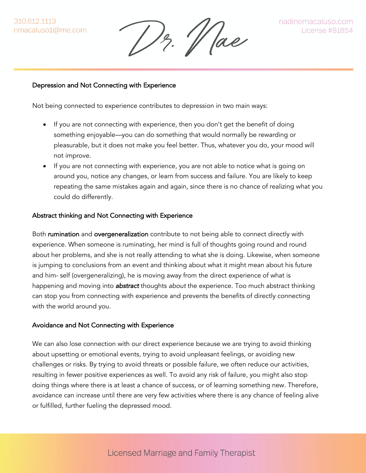1z. 11 ae

### Depression and Not Connecting with Experience

Not being connected to experience contributes to depression in two main ways:

- If you are not connecting with experience, then you don't get the benefit of doing something enjoyable—you can do something that would normally be rewarding or pleasurable, but it does not make you feel better. Thus, whatever you do, your mood will not improve.
- If you are not connecting with experience, you are not able to notice what is going on around you, notice any changes, or learn from success and failure. You are likely to keep repeating the same mistakes again and again, since there is no chance of realizing what you could do differently.

### Abstract thinking and Not Connecting with Experience

Both rumination and overgeneralization contribute to not being able to connect directly with experience. When someone is ruminating, her mind is full of thoughts going round and round about her problems, and she is not really attending to what she is doing. Likewise, when someone is jumping to conclusions from an event and thinking about what it might mean about his future and him- self (overgeneralizing), he is moving away from the direct experience of what is happening and moving into *abstract* thoughts *about* the experience. Too much abstract thinking can stop you from connecting with experience and prevents the benefits of directly connecting with the world around you.

#### Avoidance and Not Connecting with Experience

We can also lose connection with our direct experience because we are trying to avoid thinking about upsetting or emotional events, trying to avoid unpleasant feelings, or avoiding new challenges or risks. By trying to avoid threats or possible failure, we often reduce our activities, resulting in fewer positive experiences as well. To avoid any risk of failure, you might also stop doing things where there is at least a chance of success, or of learning something new. Therefore, avoidance can increase until there are very few activities where there is any chance of feeling alive or fulfilled, further fueling the depressed mood.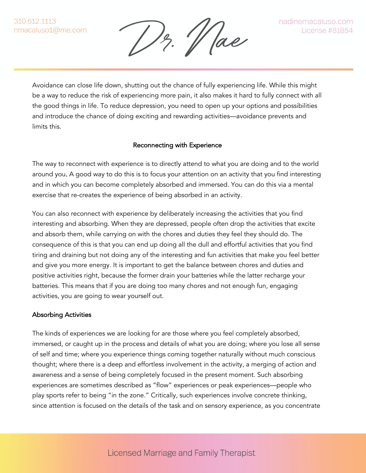1z. 11 ae

Avoidance can close life down, shutting out the chance of fully experiencing life. While this might be a way to reduce the risk of experiencing more pain, it also makes it hard to fully connect with all the good things in life. To reduce depression, you need to open up your options and possibilities and introduce the chance of doing exciting and rewarding activities—avoidance prevents and limits this.

### Reconnecting with Experience

The way to reconnect with experience is to directly attend to what you are doing and to the world around you. A good way to do this is to focus your attention on an activity that you find interesting and in which you can become completely absorbed and immersed. You can do this via a mental exercise that re-creates the experience of being absorbed in an activity.

You can also reconnect with experience by deliberately increasing the activities that you find interesting and absorbing. When they are depressed, people often drop the activities that excite and absorb them, while carrying on with the chores and duties they feel they should do. The consequence of this is that you can end up doing all the dull and effortful activities that you find tiring and draining but not doing any of the interesting and fun activities that make you feel better and give you more energy. It is important to get the balance between chores and duties and positive activities right, because the former drain your batteries while the latter recharge your batteries. This means that if you are doing too many chores and not enough fun, engaging activities, you are going to wear yourself out.

#### Absorbing Activities

The kinds of experiences we are looking for are those where you feel completely absorbed, immersed, or caught up in the process and details of what you are doing; where you lose all sense of self and time; where you experience things coming together naturally without much conscious thought; where there is a deep and effortless involvement in the activity, a merging of action and awareness and a sense of being completely focused in the present moment. Such absorbing experiences are sometimes described as "flow" experiences or peak experiences—people who play sports refer to being "in the zone." Critically, such experiences involve concrete thinking, since attention is focused on the details of the task and on sensory experience, as you concentrate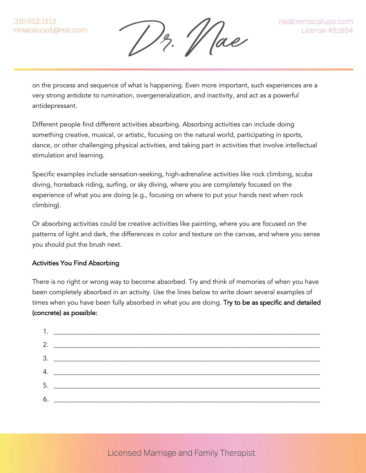12. Vae

on the process and sequence of what is happening. Even more important, such experiences are a very strong antidote to rumination, overgeneralization, and inactivity, and act as a powerful antidepressant.

Different people find different activities absorbing. Absorbing activities can include doing something creative, musical, or artistic, focusing on the natural world, participating in sports, dance, or other challenging physical activities, and taking part in activities that involve intellectual stimulation and learning.

Specific examples include sensation-seeking, high-adrenaline activities like rock climbing, scuba diving, horseback riding, surfing, or sky diving, where you are completely focused on the experience of what you are doing (e.g., focusing on where to put your hands next when rock climbing)*.* 

Or absorbing activities could be creative activities like painting, where you are focused on the patterns of light and dark, the differences in color and texture on the canvas, and where you sense you should put the brush next.

### Activities You Find Absorbing

There is no right or wrong way to become absorbed. Try and think of memories of when you have been completely absorbed in an activity. Use the lines below to write down several examples of times when you have been fully absorbed in what you are doing. Try to be as specific and detailed (concrete) as possible: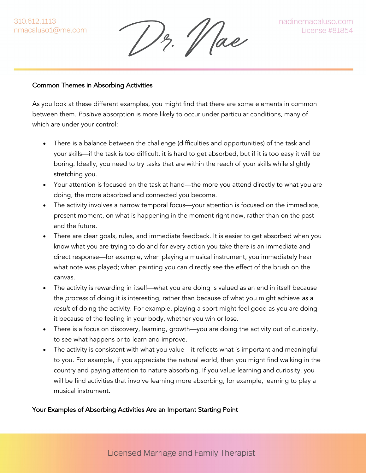12. Vae

#### Common Themes in Absorbing Activities

As you look at these different examples, you might find that there are some elements in common between them. *Positive* absorption is more likely to occur under particular conditions, many of which are under your control:

- There is a balance between the challenge (difficulties and opportunities) of the task and your skills—if the task is too difficult, it is hard to get absorbed, but if it is too easy it will be boring. Ideally, you need to try tasks that are within the reach of your skills while slightly stretching you.
- Your attention is focused on the task at hand—the more you attend directly to what you are doing, the more absorbed and connected you become.
- The activity involves a narrow temporal focus—your attention is focused on the immediate, present moment, on what is happening in the moment right now, rather than on the past and the future.
- There are clear goals, rules, and immediate feedback. It is easier to get absorbed when you know what you are trying to do and for every action you take there is an immediate and direct response—for example, when playing a musical instrument, you immediately hear what note was played; when painting you can directly see the effect of the brush on the canvas.
- The activity is rewarding in itself—what you are doing is valued as an end in itself because the *process* of doing it is interesting, rather than because of what you might achieve *as a result* of doing the activity. For example, playing a sport might feel good as you are doing it because of the feeling in your body, whether you win or lose.
- There is a focus on discovery, learning, growth—you are doing the activity out of curiosity, to see what happens or to learn and improve.
- The activity is consistent with what you value—it reflects what is important and meaningful to you. For example, if you appreciate the natural world, then you might find walking in the country and paying attention to nature absorbing. If you value learning and curiosity, you will be find activities that involve learning more absorbing, for example, learning to play a musical instrument.

#### Your Examples of Absorbing Activities Are an Important Starting Point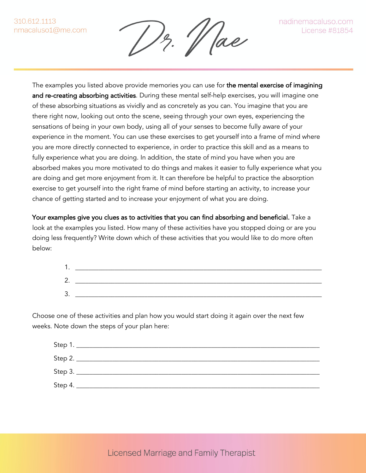Dr. Wae

The examples you listed above provide memories you can use for the mental exercise of imagining and re-creating absorbing activities. During these mental self-help exercises, you will imagine one of these absorbing situations as vividly and as concretely as you can. You imagine that you are there right now, looking out onto the scene, seeing through your own eyes, experiencing the sensations of being in your own body, using all of your senses to become fully aware of your experience in the moment. You can use these exercises to get yourself into a frame of mind where you are more directly connected to experience, in order to practice this skill and as a means to fully experience what you are doing. In addition, the state of mind you have when you are absorbed makes you more motivated to do things and makes it easier to fully experience what you are doing and get more enjoyment from it. It can therefore be helpful to practice the absorption exercise to get yourself into the right frame of mind before starting an activity, to increase your chance of getting started and to increase your enjoyment of what you are doing.

Your examples give you clues as to activities that you can find absorbing and beneficial. Take a look at the examples you listed. How many of these activities have you stopped doing or are you doing less frequently? Write down which of these activities that you would like to do more often below:

| ∽<br>. . |  |
|----------|--|
| ⌒<br>۷.  |  |
| ⌒<br>.ر  |  |

Choose one of these activities and plan how you would start doing it again over the next few weeks. Note down the steps of your plan here:

|                 | Step 1. _______________________ |
|-----------------|---------------------------------|
| Step 2. _______ |                                 |
|                 | Step 3. ________________        |
| Step 4. _____   |                                 |
|                 |                                 |